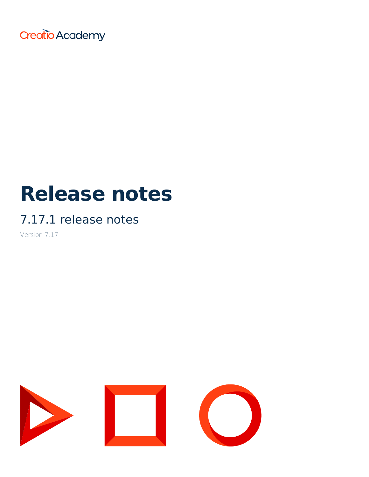Creatio Academy

# **Release notes**

## 7.17.1 release notes

Version 7.17

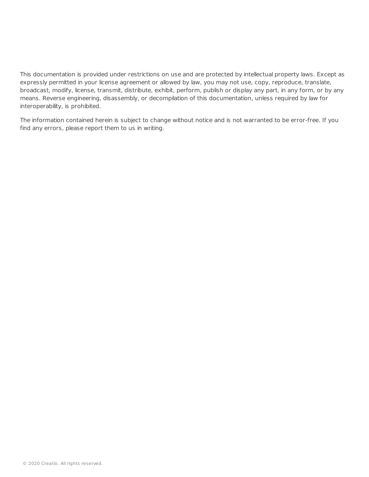This documentation is provided under restrictions on use and are protected by intellectual property laws. Except as expressly permitted in your license agreement or allowed by law, you may not use, copy, reproduce, translate, broadcast, modify, license, transmit, distribute, exhibit, perform, publish or display any part, in any form, or by any means. Reverse engineering, disassembly, or decompilation of this documentation, unless required by law for interoperability, is prohibited.

The information contained herein is subject to change without notice and is not warranted to be error-free. If you find any errors, please report them to us in writing.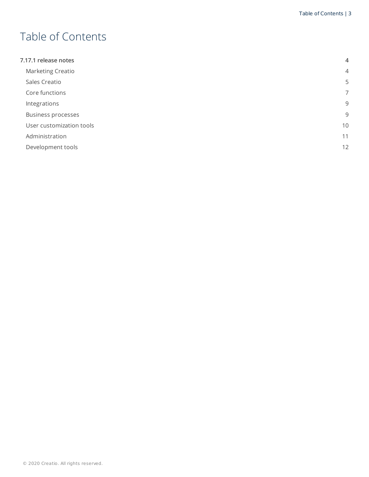## <span id="page-2-0"></span>Table of [Contents](#page-2-0)

<span id="page-2-9"></span><span id="page-2-8"></span><span id="page-2-7"></span><span id="page-2-6"></span><span id="page-2-5"></span><span id="page-2-4"></span><span id="page-2-3"></span><span id="page-2-2"></span><span id="page-2-1"></span>

| 7.17.1 release notes      | $\overline{4}$ |
|---------------------------|----------------|
| Marketing Creatio         | $\overline{4}$ |
| Sales Creatio             | 5              |
| Core functions            | $\overline{7}$ |
| Integrations              | 9              |
| <b>Business processes</b> | 9              |
| User customization tools  | 10             |
| Administration            | 11             |
| Development tools         | 12             |
|                           |                |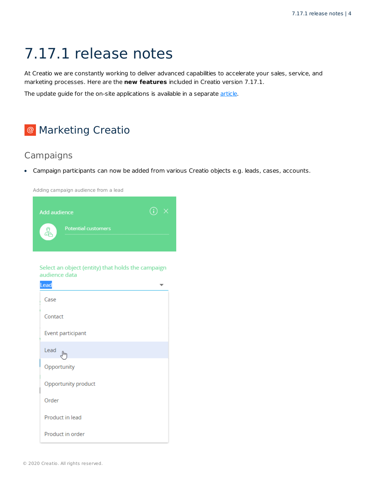## <span id="page-3-0"></span>7.17.1 [release](#page-2-1) notes

At Creatio we are constantly working to deliver advanced capabilities to accelerate your sales, service, and marketing processes. Here are the **new features** included in Creatio version 7.17.1.

The update guide for the on-site applications is available in a separate [article](https://academy.creatio.com/docs/release/update-guide/update-guide).

#### <span id="page-3-1"></span><sup>@</sup> [Marketing](#page-2-2) Creatio

#### **Campaigns**

Campaign participants can now be added from various Creatio objects e.g. leads, cases, accounts.

Adding campaign audience from a lead



Select an object (entity) that holds the campaign audience data

| Lead                |  |
|---------------------|--|
| Case                |  |
| Contact             |  |
| Event participant   |  |
| Lead                |  |
| Opportunity         |  |
| Opportunity product |  |
| Order               |  |
| Product in lead     |  |
| Product in order    |  |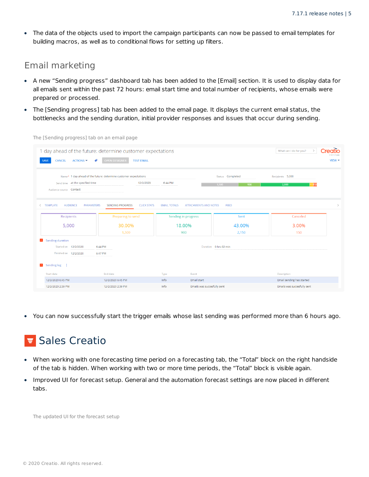The data of the objects used to import the campaign participants can now be passed to email templates for  $\bullet$ building macros, as well as to conditional flows for setting up filters.

#### Email marketing

- A new "Sending progress" dashboard tab has been added to the [Email] section. It is used to display data for all emails sent within the past 72 hours: email start time and total number of recipients, whose emails were prepared or processed.
- The [Sending progress] tab has been added to the email page. It displays the current email status, the bottlenecks and the sending duration, initial provider responses and issues that occur during sending.

| CANCEL<br>$ACTIONS =$<br><b>SAVE</b>                       | 1 day ahead of the future: determine customer expectations<br>●<br><b>OPEN DESIGNER</b><br><b>TEST EMAIL</b> |                     |                              |                         | What can I do for you?             | Creatío<br>7.17.1.1296<br>$V$ IEW $\sim$ |
|------------------------------------------------------------|--------------------------------------------------------------------------------------------------------------|---------------------|------------------------------|-------------------------|------------------------------------|------------------------------------------|
| Send time at the specified time<br>Audience source Contact | Name* 1 day ahead of the future: determine customer expectations<br>12/2/2020                                | 6:44 PM             | 1.500                        | Status Completed<br>900 | Recipients 5,000<br>50150<br>2,000 |                                          |
| <b>TEMPLATE</b><br><b>AUDIENCE</b><br><b>PARAMETERS</b>    | <b>SENDING PROGRESS</b><br><b>CLICK STATS</b>                                                                | <b>EMAIL TOTALS</b> | <b>ATTACHMENTS AND NOTES</b> | FEED                    |                                    | $\checkmark$                             |
| Recipients                                                 | Preparing to send                                                                                            | Sending in progress |                              | Sent                    | Canceled                           |                                          |
| 5,000                                                      | 30.00%                                                                                                       | 18.00%              |                              | 43.00%                  | 3.00%                              |                                          |
|                                                            | 1,500                                                                                                        | 900                 |                              | 2,150                   | 150                                |                                          |
| $\hat{\phantom{a}}$<br><b>Sending duration</b>             |                                                                                                              |                     |                              |                         |                                    |                                          |
| Started on 12/2/2020                                       | 6:44 PM                                                                                                      |                     | Duration 0 hrs 02 min        |                         |                                    |                                          |
| Finished on 12/2/2020                                      | 6:47 PM                                                                                                      |                     |                              |                         |                                    |                                          |
| $\sim$<br>Sending log :                                    |                                                                                                              |                     |                              |                         |                                    |                                          |
| Start date                                                 | End date                                                                                                     | Type                | Event                        |                         | Description                        |                                          |
| 12/2/2020 6:45 PM                                          | 12/2/2020 6:45 PM                                                                                            | Info                | Email start                  |                         | Email sending has started          |                                          |
| 12/2/2020 2:39 PM                                          | 12/2/2020 2:39 PM                                                                                            | Info                | Emails was succesfully sent  |                         | Emails was succesfully sent        |                                          |

The [Sending progress] tab on an email page

• You can now successfully start the trigger emails whose last sending was performed more than 6 hours ago.

## <span id="page-4-0"></span>**E** Sales [Creatio](#page-2-3)

- When working with one forecasting time period on a forecasting tab, the "Total" block on the right handside of the tab is hidden. When working with two or more time periods, the "Total" block is visible again.
- $\bullet$  . Improved UI for forecast setup. General and the automation forecast settings are now placed in different tabs.

The updated UI for the forecast setup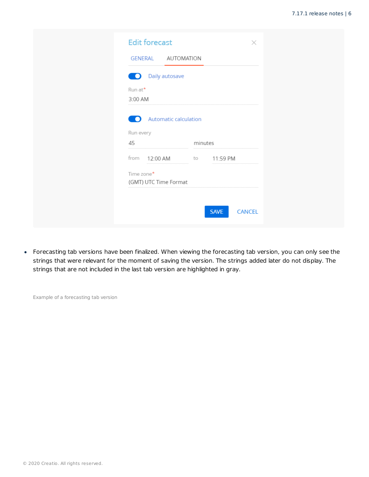| Daily autosave                      |         |  |
|-------------------------------------|---------|--|
| $Run$ at <sup>*</sup><br>3:00 AM    |         |  |
| <b>Automatic calculation</b><br>n   |         |  |
| Run every                           |         |  |
| 45                                  | minutes |  |
| from 12:00 AM to 11:59 PM           |         |  |
| Time zone*<br>(GMT) UTC Time Format |         |  |

Forecasting tab versions have been finalized. When viewing the forecasting tab version, you can only see the strings that were relevant for the moment of saving the version. The strings added later do not display. The strings that are not included in the last tab version are highlighted in gray.

Example of a forecasting tab version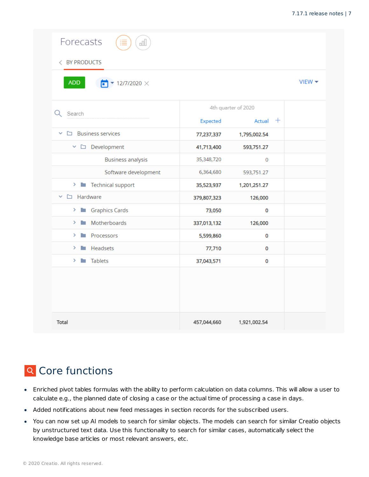| Forecasts<br>oOU                           |             |                     |                               |
|--------------------------------------------|-------------|---------------------|-------------------------------|
| < BY PRODUCTS                              |             |                     |                               |
| <b>ADD</b><br>$\bullet$ 12/7/2020 $\times$ |             |                     | $V$ IEW $\blacktriangleright$ |
| Search                                     |             | 4th quarter of 2020 |                               |
|                                            | Expected    | Actual $+$          |                               |
| $\Box$ Business services<br>$\checkmark$   | 77,237,337  | 1,795,002.54        |                               |
| $\vee$ $\square$ Development               | 41,713,400  | 593,751.27          |                               |
| <b>Business analysis</b>                   | 35,348,720  | 0                   |                               |
| Software development                       | 6,364,680   | 593,751.27          |                               |
| > Technical support                        | 35,523,937  | 1,201,251.27        |                               |
| $\vee$ $\square$ Hardware                  | 379,807,323 | 126,000             |                               |
| <b>Exercise Cards</b><br>>                 | 73,050      | 0                   |                               |
| Motherboards<br>m.<br>>                    | 337,013,132 | 126,000             |                               |
| <b>Processors</b><br>>                     | 5,599,860   | 0                   |                               |
| Headsets<br>><br>P.                        | 77,710      | 0                   |                               |
| ><br><b>Tablets</b><br>n.                  | 37,043,571  | 0                   |                               |
|                                            |             |                     |                               |
| Total                                      | 457,044,660 | 1,921,002.54        |                               |

### <span id="page-6-0"></span>**Q** Core [functions](#page-2-4)

- Enriched pivot tables formulas with the ability to perform calculation on data columns. This will allow a user to calculate e.g., the planned date of closing a case or the actual time of processing a case in days.
- Added notifications about new feed messages in section records for the subscribed users.
- You can now set up AI models to search for similar objects. The models can search for similar Creatio objects by unstructured text data. Use this functionality to search for similar cases, automatically select the knowledge base articles or most relevant answers, etc.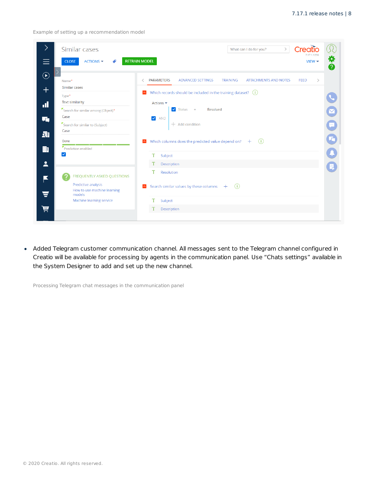Example of setting up a recommendation model

|                                      | Similar cases                                                                                                                                      | Creatio<br>$\rightarrow$<br>What can I do for you?<br>7.17.1.1296                                                                                                                                                                                                                                                                                                    |
|--------------------------------------|----------------------------------------------------------------------------------------------------------------------------------------------------|----------------------------------------------------------------------------------------------------------------------------------------------------------------------------------------------------------------------------------------------------------------------------------------------------------------------------------------------------------------------|
| $\equiv$                             | ACTIONS $\blacktriangledown$<br><b>CLOSE</b>                                                                                                       | П<br><b>RETRAIN MODEL</b><br>$V$ IEW $\blacktriangleright$<br>Ø                                                                                                                                                                                                                                                                                                      |
| $\bigodot$<br>$\pm$<br>al.<br>石<br>霜 | Name*<br>Similar cases<br>Type*<br><b>Text similarity</b><br>Search for similar among (Object)*<br>Case<br>Search for similar to (Subject)<br>Case | <b>PARAMETERS</b><br><b>ADVANCED SETTINGS</b><br><b>TRAINING</b><br><b>ATTACHMENTS AND NOTES</b><br><b>FEED</b><br>$\rightarrow$<br>Which records should be included in the training dataset? $(i)$<br>$\sim$<br>Actions $\blacktriangledown$<br>$\bigcirc$<br>$\blacktriangleright$ Status =<br>Resolved<br>$\blacktriangledown$<br><b>AND</b><br>$+$ Add condition |
| 由<br>$\overline{\mathbf{r}}$         | Done<br>Prediction enabled<br>M                                                                                                                    | G<br>O<br>Which columns does the predicted value depend on?<br>(i)<br>$\widehat{\phantom{a}}$<br>$+$<br>T<br>Subject<br>Description                                                                                                                                                                                                                                  |
| ×<br>$\overline{\textbf{v}}$<br>Ä    | <b>FREQUENTLY ASKED QUESTIONS</b><br>Predictive analysis<br>How to use machine learning<br>models<br>Machine learning service                      | т<br>Resolution<br>Search similar values by these columns<br>(i)<br>$\widehat{\phantom{a}}$<br>$+$<br>т<br>Subject<br>Description                                                                                                                                                                                                                                    |

• Added Telegram customer communication channel. All messages sent to the Telegram channel configured in Creatio will be available for processing by agents in the communication panel. Use "Chats settings" available in the System Designer to add and set up the new channel.

Processing Telegram chat messages in the communication panel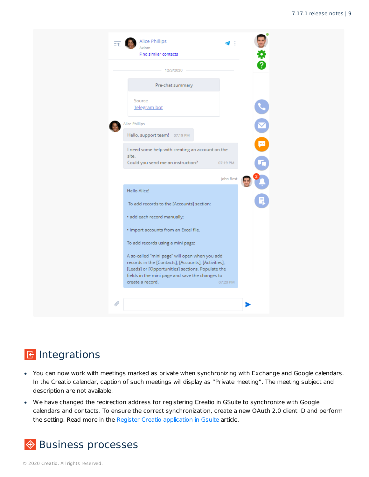|               | Find similar contacts                                                                                                                                                                                                              |           |   |
|---------------|------------------------------------------------------------------------------------------------------------------------------------------------------------------------------------------------------------------------------------|-----------|---|
|               | 12/3/2020                                                                                                                                                                                                                          |           |   |
|               | Pre-chat summary                                                                                                                                                                                                                   |           |   |
|               | Source<br>Telegram bot                                                                                                                                                                                                             |           |   |
|               | Alice Phillips                                                                                                                                                                                                                     |           |   |
|               | Hello, support team! 07:19 PM                                                                                                                                                                                                      |           |   |
|               | I need some help with creating an account on the<br>site.<br>Could you send me an instruction?                                                                                                                                     | 07:19 PM  | ٥ |
|               |                                                                                                                                                                                                                                    |           |   |
|               | Hello Alice!                                                                                                                                                                                                                       | John Best |   |
|               | To add records to the [Accounts] section:                                                                                                                                                                                          |           |   |
|               | · add each record manually;                                                                                                                                                                                                        |           |   |
|               | · import accounts from an Excel file.                                                                                                                                                                                              |           |   |
|               | To add records using a mini page:                                                                                                                                                                                                  |           |   |
|               | A so-called "mini page" will open when you add<br>records in the [Contacts], [Accounts], [Activities],<br>[Leads] or [Opportunities] sections. Populate the<br>fields in the mini page and save the changes to<br>create a record. | 07:20 PM  |   |
| $\mathscr{O}$ |                                                                                                                                                                                                                                    |           |   |

#### <span id="page-8-0"></span>B [Integrations](#page-2-5)

- You can now work with meetings marked as private when synchronizing with Exchange and Google calendars. In the Creatio calendar, caption of such meetings will display as "Private meeting". The meeting subject and description are not available.
- We have changed the redirection address for registering Creatio in GSuite to synchronize with Google calendars and contacts. To ensure the correct synchronization, create a new OAuth 2.0 client ID and perform the setting. Read more in the Register Creatio [application](https://academy.creatio.com/docs/docs/node/191) in Gsuite article.

### <span id="page-8-1"></span>**♦ Business [processes](#page-2-6)**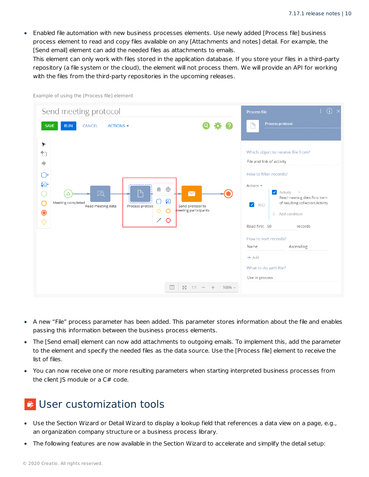Enabled file automation with new business processes elements. Use newly added [Process file] business process element to read and copy files available on any [Attachments and notes] detail. For example, the [Send email] element can add the needed files as attachments to emails.

This element can only work with files stored in the application database. If you store your files in a third-party repository (a file system or the cloud), the element will not process them. We will provide an API for working with the files from the third-party repositories in the upcoming releases.

| Send meeting protocol                                                                                                                                                                                                                                                                                                                                 | $\odot$<br>Ŧ.<br>Process file                                                                                                                                                                                                                                                                                                                                                                                                       |
|-------------------------------------------------------------------------------------------------------------------------------------------------------------------------------------------------------------------------------------------------------------------------------------------------------------------------------------------------------|-------------------------------------------------------------------------------------------------------------------------------------------------------------------------------------------------------------------------------------------------------------------------------------------------------------------------------------------------------------------------------------------------------------------------------------|
| $9$ $\boldsymbol{\hat{u}}$ $\boldsymbol{\theta}$<br><b>SAVE</b><br><b>CANCEL</b><br>ACTIONS $\blacktriangledown$<br><b>RUN</b>                                                                                                                                                                                                                        | Process protocol<br>D                                                                                                                                                                                                                                                                                                                                                                                                               |
| ▸<br>加<br>$\Rightarrow$<br>$\bigcirc$<br>$\odot$<br>සි<br>$\vec{\text{m}}$<br>$\mathbb P$<br>$\overline{\mathbf{M}}$<br>$\overline{=Q}$<br>∩<br>Δ<br>0<br>$\overline{\mathsf{O}}$<br>Meeting completed<br>Read meeting data<br>Send protocol to<br>Process protocc<br>neeting participants<br>◇<br>$\circ$<br>$\bullet$<br>╱<br>$\circ$<br>$\Diamond$ | Which object to receive file from?<br>File and link of activity<br>How to filter records?<br>Actions $\blacktriangledown$<br>Activity<br>$\blacktriangledown$<br>$\equiv$<br>Read meeting data.First item<br>of resulting collection.Activity<br>$\blacktriangledown$<br>AND<br>Add condition<br>$+$<br>Read first 50<br>records<br>How to sort records?<br>Ascending<br>Name<br>$+$ Add<br>What to do with file?<br>Use in process |
| $\square$<br>KZ<br>Ka<br>100% +<br>1:1                                                                                                                                                                                                                                                                                                                |                                                                                                                                                                                                                                                                                                                                                                                                                                     |

Example of using the [Process file] element

- A new "File" process parameter has been added. This parameter stores information about the file and enables passing this information between the business process elements.
- The [Send email] element can now add attachments to outgoing emails. To implement this, add the parameter to the element and specify the needed files as the data source. Use the [Process file] element to receive the list of files.
- You can now receive one or more resulting parameters when starting interpreted business processes from the client JS module or a C# code.

#### <span id="page-9-0"></span>**User [customization](#page-2-7) tools**

- Use the Section Wizard or Detail Wizard to display a lookup field that references a data view on a page, e.g., an organization company structure or a business process library.
- The following features are now available in the Section Wizard to accelerate and simplify the detail setup: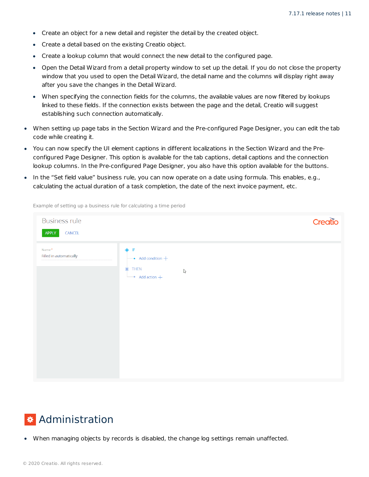- Create an object for a new detail and register the detail by the created object.
- Create a detail based on the existing Creatio object.
- Create a lookup column that would connect the new detail to the configured page.
- Open the Detail Wizard from a detail property window to set up the detail. If you do not close the property window that you used to open the Detail Wizard, the detail name and the columns will display right away after you save the changes in the Detail Wizard.
- When specifying the connection fields for the columns, the available values are now filtered by lookups linked to these fields. If the connection exists between the page and the detail, Creatio will suggest establishing such connection automatically.
- When setting up page tabs in the Section Wizard and the Pre-configured Page Designer, you can edit the tab code while creating it.
- You can now specify the UI element captions in different localizations in the Section Wizard and the Preconfigured Page Designer. This option is available for the tab captions, detail captions and the connection lookup columns. In the Pre-configured Page Designer, you also have this option available for the buttons.
- In the "Set field value" business rule, you can now operate on a date using formula. This enables, e.g., calculating the actual duration of a task completion, the date of the next invoice payment, etc.

| <b>Business rule</b><br>APPLY<br>CANCEL | Creatio                                                                                                 |
|-----------------------------------------|---------------------------------------------------------------------------------------------------------|
| Name*<br>Filled in automatically        | ♦ IF<br>$\bullet$ Add condition $+$<br><b>THEN</b><br>Ò<br>$\mathbb{V}$<br>$\rightarrow$ Add action $+$ |

Example of setting up a business rule for calculating a time period

#### <span id="page-10-0"></span>**\*** [Administration](#page-2-8)

When managing objects by records is disabled, the change log settings remain unaffected.